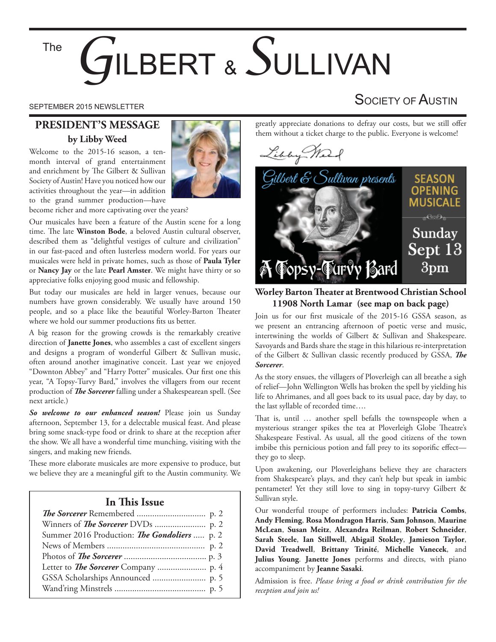#### The

# LBERT & SULLIVAN

# **PRESIDENT'S MESSAGE by Libby Weed**

Welcome to the 2015-16 season, a tenmonth interval of grand entertainment and enrichment by The Gilbert & Sullivan Society of Austin! Have you noticed how our activities throughout the year—in addition to the grand summer production—have



become richer and more captivating over the years?

Our musicales have been a feature of the Austin scene for a long time. The late Winston Bode, a beloved Austin cultural observer, described them as "delightful vestiges of culture and civilization" in our fast-paced and often lusterless modern world. For years our musicales were held in private homes, such as those of **Paula Tyler** or **Nancy Jay** or the late **Pearl Amster**. We might have thirty or so appreciative folks enjoying good music and fellowship.

But today our musicales are held in larger venues, because our numbers have grown considerably. We usually have around 150 people, and so a place like the beautiful Worley-Barton Theater where we hold our summer productions fits us better.

A big reason for the growing crowds is the remarkably creative direction of **Janette Jones**, who assembles a cast of excellent singers and designs a program of wonderful Gilbert & Sullivan music, often around another imaginative conceit. Last year we enjoyed "Downton Abbey" and "Harry Potter" musicales. Our first one this year, "A Topsy-Turvy Bard," involves the villagers from our recent production of *The Sorcerer* falling under a Shakespearean spell. (See next article.)

*So welcome to our enhanced season!* Please join us Sunday afternoon, September 13, for a delectable musical feast. And please bring some snack-type food or drink to share at the reception after the show. We all have a wonderful time munching, visiting with the singers, and making new friends.

These more elaborate musicales are more expensive to produce, but we believe they are a meaningful gift to the Austin community. We

#### **In This Issue**

| Summer 2016 Production: The Gondoliers  p. 2 |
|----------------------------------------------|
|                                              |
|                                              |
|                                              |
|                                              |
|                                              |

# SEPTEMBER 2015 NEWSLETTER SEPTEMBER 2015 NEWSLETTER

greatly appreciate donations to defray our costs, but we still offer them without a ticket charge to the public. Everyone is welcome!





**Worley Barton ! eater at Brentwood Christian School 11908 North Lamar (see map on back page)** 

Join us for our first musicale of the 2015-16 GSSA season, as we present an entrancing afternoon of poetic verse and music, intertwining the worlds of Gilbert & Sullivan and Shakespeare. Savoyards and Bards share the stage in this hilarious re-interpretation of the Gilbert & Sullivan classic recently produced by GSSA, *The Sorcerer*.

As the story ensues, the villagers of Ploverleigh can all breathe a sigh of relief—John Wellington Wells has broken the spell by yielding his life to Ahrimanes, and all goes back to its usual pace, day by day, to the last syllable of recorded time….

That is, until ... another spell befalls the townspeople when a mysterious stranger spikes the tea at Ploverleigh Globe Theatre's Shakespeare Festival. As usual, all the good citizens of the town imbibe this pernicious potion and fall prey to its soporific effect they go to sleep.

Upon awakening, our Ploverleighans believe they are characters from Shakespeare's plays, and they can't help but speak in iambic pentameter! Yet they still love to sing in topsy-turvy Gilbert & Sullivan style.

Our wonderful troupe of performers includes: **Patricia Combs**, **Andy Fleming**, **Rosa Mondragon Harris**, **Sam Johnson**, **Maurine McLean**, **Susan Meitz**, **Alexandra Reilman**, **Robert Schneider**, **Sarah Steele**, **Ian Stillwell**, **Abigail Stokley**, **Jamieson Taylor**, **David Treadwell**, **Brittany Trinité**, **Michelle Vanecek**, and **Julius Young**. **Janette Jones** performs and directs, with piano accompaniment by **Jeanne Sasaki**.

Admission is free. *Please bring a food or drink contribution for the reception and join us!*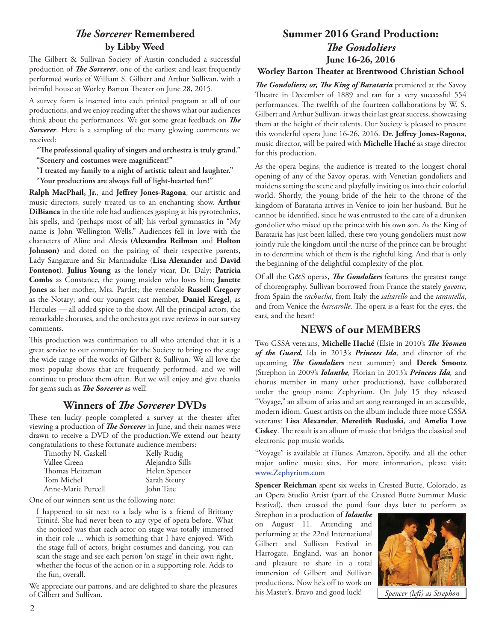### *The Sorcerer* Remembered **by Libby Weed**

The Gilbert & Sullivan Society of Austin concluded a successful production of *The Sorcerer*, one of the earliest and least frequently performed works of William S. Gilbert and Arthur Sullivan, with a brimful house at Worley Barton Theater on June 28, 2015.

A survey form is inserted into each printed program at all of our productions, and we enjoy reading after the shows what our audiences think about the performances. We got some great feedback on *The Sorcerer*. Here is a sampling of the many glowing comments we received:

**"! e professional quality of singers and orchestra is truly grand."**

"Scenery and costumes were magnificent!"

**"I treated my family to a night of artistic talent and laughter."**

**"Your productions are always full of light-hearted fun!"**

Ralph MacPhail, Jr., and Jeffrey Jones-Ragona, our artistic and music directors, surely treated us to an enchanting show. **Arthur DiBianca** in the title role had audiences gasping at his pyrotechnics, his spells, and (perhaps most of all) his verbal gymnastics in "My name is John Wellington Wells." Audiences fell in love with the characters of Aline and Alexis (**Alexandra Reilman** and **Holton Johnson)** and doted on the pairing of their respective parents, Lady Sangazure and Sir Marmaduke (**Lisa Alexander** and **David Fontenot**). **Julius Young** as the lonely vicar, Dr. Daly; **Patricia Combs** as Constance, the young maiden who loves him; **Janette Jones** as her mother, Mrs. Partlet; the venerable **Russell Gregory** as the Notary; and our youngest cast member, **Daniel Kregel**, as Hercules — all added spice to the show. All the principal actors, the remarkable choruses, and the orchestra got rave reviews in our survey comments.

This production was confirmation to all who attended that it is a great service to our community for the Society to bring to the stage the wide range of the works of Gilbert & Sullivan. We all love the most popular shows that are frequently performed, and we will continue to produce them often. But we will enjoy and give thanks for gems such as *The Sorcerer* as well!

#### **Winners of** *! e Sorcerer* **DVDs**

These ten lucky people completed a survey at the theater after viewing a production of *The Sorcerer* in June, and their names were drawn to receive a DVD of the production.We extend our hearty congratulations to these fortunate audience members:

| Timothy N. Gaskell | Kelly Rudig     |
|--------------------|-----------------|
| Vallee Green       | Alejandro Sills |
| Thomas Heitzman    | Helen Spencer   |
| Tom Michel         | Sarah Steury    |
| Anne-Marie Purcell | John Tate       |

One of our winners sent us the following note:

I happened to sit next to a lady who is a friend of Brittany Trinité. She had never been to any type of opera before. What she noticed was that each actor on stage was totally immersed in their role ... which is something that I have enjoyed. With the stage full of actors, bright costumes and dancing, you can scan the stage and see each person 'on stage' in their own right, whether the focus of the action or in a supporting role. Adds to the fun, overall.

We appreciate our patrons, and are delighted to share the pleasures of Gilbert and Sullivan.<sup>1</sup> Spencer (left) as Strephon

# **Summer 2016 Grand Production:** *The Gondoliers* **June 16-26, 2016**

#### **Worley Barton ! eater at Brentwood Christian School**

*The Gondoliers; or, The King of Barataria* premiered at the Savoy Theatre in December of 1889 and ran for a very successful 554 performances. The twelfth of the fourteen collaborations by W. S. Gilbert and Arthur Sullivan, it was their last great success, showcasing them at the height of their talents. Our Society is pleased to present this wonderful opera June 16-26, 2016. Dr. Jeffrey Jones-Ragona, music director, will be paired with **Michelle Haché** as stage director for this production.

As the opera begins, the audience is treated to the longest choral opening of any of the Savoy operas, with Venetian gondoliers and maidens setting the scene and playfully inviting us into their colorful world. Shortly, the young bride of the heir to the throne of the kingdom of Barataria arrives in Venice to join her husband. But he cannot be identified, since he was entrusted to the care of a drunken gondolier who mixed up the prince with his own son. As the King of Barataria has just been killed, these two young gondoliers must now jointly rule the kingdom until the nurse of the prince can be brought in to determine which of them is the rightful king. And that is only the beginning of the delightful complexity of the plot.

Of all the G&S operas, *The Gondoliers* features the greatest range of choreography. Sullivan borrowed from France the stately *gavotte*, from Spain the *cachucha*, from Italy the *saltarello* and the *tarantella*, and from Venice the *barcarolle*. The opera is a feast for the eyes, the ears, and the heart!

# **NEWS of our MEMBERS**

Two GSSA veterans, Michelle Haché (Elsie in 2010's *The Yeomen of the Guard*, Ida in 2013's *Princess Ida,* and director of the upcoming *The Gondoliers* next summer) and Derek Smootz (Strephon in 2009's *Iolanthe,* Florian in 2013's *Princess Ida,* and chorus member in many other productions), have collaborated under the group name Zephyrium. On July 15 they released "Voyage," an album of arias and art song rearranged in an accessible, modern idiom. Guest artists on the album include three more GSSA veterans: **Lisa Alexander**, **Meredith Ruduski**, and **Amelia Love Ciskey**. The result is an album of music that bridges the classical and electronic pop music worlds.

"Voyage" is available at iTunes, Amazon, Spotify, and all the other major online music sites. For more information, please visit: **www.Zephyrium.com**

**Spencer Reichman** spent six weeks in Crested Butte, Colorado, as an Opera Studio Artist (part of the Crested Butte Summer Music Festival), then crossed the pond four days later to perform as

Strephon in a production of *Iolanthe* on August 11. Attending and performing at the 22nd International Gilbert and Sullivan Festival in Harrogate, England, was an honor and pleasure to share in a total immersion of Gilbert and Sullivan productions. Now he's off to work on

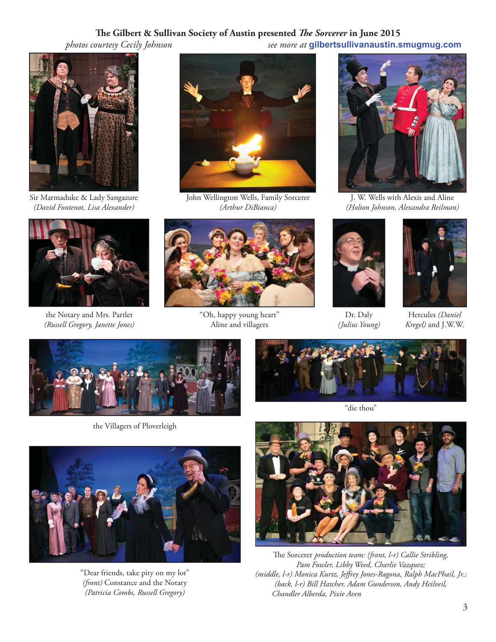## **! e Gilbert & Sullivan Society of Austin presented** *! e Sorcerer* **in June 2015**

 *photos courtesy Cecily Johnson see more at* **gilbertsullivanaustin.smugmug.com**



Sir Marmaduke & Lady Sangazure *(David Fontenot, Lisa Alexander)*



the Notary and Mrs. Partlet *(Russell Gregory, Janette Jones)*



John Wellington Wells, Family Sorcerer *(Arthur DiBianca)*



"Oh, happy young heart" Aline and villagers



J. W. Wells with Alexis and Aline *(Holton Johnson, Alexandra Reilman)*



Dr. Daly *(Julius Young)*



Hercules *(Daniel Kregel)* and J.W.W.



the Villagers of Ploverleigh



"Dear friends, take pity on my lot" *(front)* Constance and the Notary *(Patricia Combs, Russell Gregory)*



"die thou"



The Sorcerer *production team: (front, l-r) Callie Stribling, Pam Fowler, Libby Weed, Charlie Vazquez; (middle, l-r) Monica Kurtz, Je" rey Jones-Ragona, Ralph MacPhail, Jr.; (back, l-r) Bill Hatcher, Adam Gunderson, Andy Heilveil, Chandler Alberda, Pixie Aven*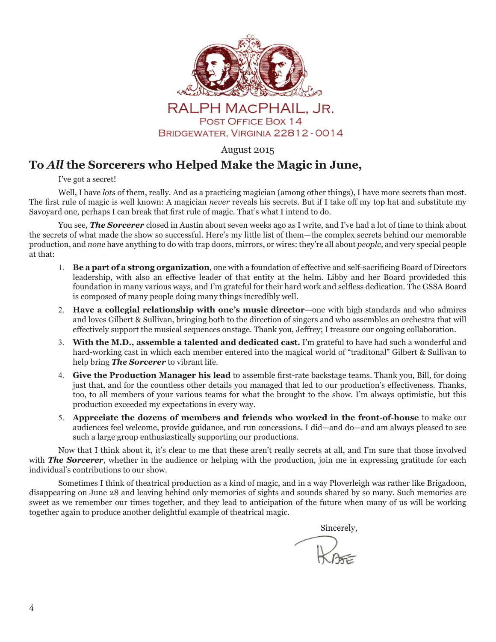

August 2015

# **To** *All* **the Sorcerers who Helped Make the Magic in June,**

I've got a secret!

Well, I have *lots* of them, really. And as a practicing magician (among other things), I have more secrets than most. The first rule of magic is well known: A magician *never* reveals his secrets. But if I take off my top hat and substitute my Savoyard one, perhaps I can break that first rule of magic. That's what I intend to do.

You see, **The Sorcerer** closed in Austin about seven weeks ago as I write, and I've had a lot of time to think about the secrets of what made the show so successful. Here's my little list of them—the complex secrets behind our memorable production, and *none* have anything to do with trap doors, mirrors, or wires: they're all about *people*, and very special people at that:

- 1. **Be a part of a strong organization**, one with a foundation of effective and self-sacrificing Board of Directors leadership, with also an effective leader of that entity at the helm. Libby and her Board provideded this foundation in many various ways, and I'm grateful for their hard work and selfless dedication. The GSSA Board is composed of many people doing many things incredibly well.
- **Have a collegial relationship with one's music director—**one with high standards and who admires and loves Gilbert & Sullivan, bringing both to the direction of singers and who assembles an orchestra that will effectively support the musical sequences onstage. Thank you, Jeffrey; I treasure our ongoing collaboration.
- **With the M.D., assemble a talented and dedicated cast.** I'm grateful to have had such a wonderful and hard-working cast in which each member entered into the magical world of "traditonal" Gilbert & Sullivan to help bring *The Sorcerer* to vibrant life.
- 4. **Give the Production Manager his lead** to assemble first-rate backstage teams. Thank you, Bill, for doing just that, and for the countless other details you managed that led to our production's effectiveness. Thanks, too, to all members of your various teams for what the brought to the show. I'm always optimistic, but this production exceeded my expectations in every way.
- **Appreciate the dozens of members and friends who worked in the front-of-house** to make our audiences feel welcome, provide guidance, and run concessions. I did—and do—and am always pleased to see such a large group enthusiastically supporting our productions.

Now that I think about it, it's clear to me that these aren't really secrets at all, and I'm sure that those involved with **The Sorcerer**, whether in the audience or helping with the production, join me in expressing gratitude for each individual's contributions to our show.

Sometimes I think of theatrical production as a kind of magic, and in a way Ploverleigh was rather like Brigadoon, disappearing on June 28 and leaving behind only memories of sights and sounds shared by so many. Such memories are sweet as we remember our times together, and they lead to anticipation of the future when many of us will be working together again to produce another delightful example of theatrical magic.

**Sincerely,** Sincerely,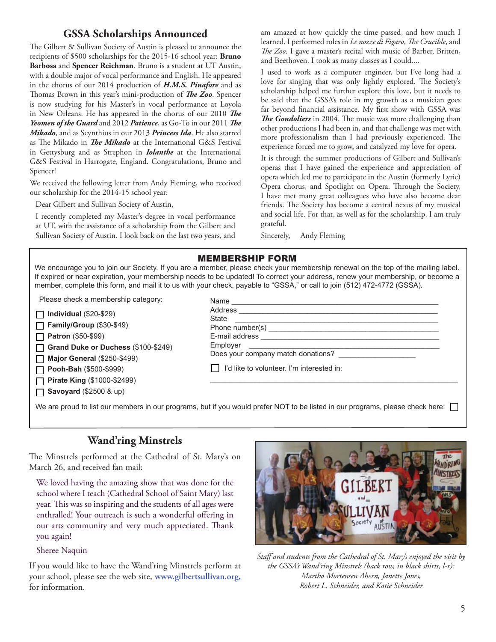# **GSSA Scholarships Announced**

The Gilbert & Sullivan Society of Austin is pleased to announce the recipients of \$500 scholarships for the 2015-16 school year: **Bruno Barbosa** and **Spencer Reichman**. Bruno is a student at UT Austin, with a double major of vocal performance and English. He appeared in the chorus of our 2014 production of *H.M.S. Pinafore* and as Thomas Brown in this year's mini-production of *The Zoo*. Spencer is now studying for his Master's in vocal performance at Loyola in New Orleans. He has appeared in the chorus of our 2010 *The Yeomen of the Guard* and 2012 *Patience*, as Go-To in our 2011 *The Mikado*, and as Scynthius in our 2013 *Princess Ida*. He also starred as The Mikado in *The Mikado* at the International G&S Festival in Gettysburg and as Strephon in *Iolanthe* at the International G&S Festival in Harrogate, England. Congratulations, Bruno and Spencer!

We received the following letter from Andy Fleming, who received our scholarship for the 2014-15 school year:

Dear Gilbert and Sullivan Society of Austin,

I recently completed my Master's degree in vocal performance at UT, with the assistance of a scholarship from the Gilbert and Sullivan Society of Austin. I look back on the last two years, and am amazed at how quickly the time passed, and how much I learned. I performed roles in *Le nozze di Figaro*, *The Crucible*, and *The Zoo*. I gave a master's recital with music of Barber, Britten, and Beethoven. I took as many classes as I could....

I used to work as a computer engineer, but I've long had a love for singing that was only lightly explored. The Society's scholarship helped me further explore this love, but it needs to be said that the GSSA's role in my growth as a musician goes far beyond financial assistance. My first show with GSSA was *The Gondoliers* in 2004. The music was more challenging than other productions I had been in, and that challenge was met with more professionalism than I had previously experienced. The experience forced me to grow, and catalyzed my love for opera.

It is through the summer productions of Gilbert and Sullivan's operas that I have gained the experience and appreciation of opera which led me to participate in the Austin (formerly Lyric) Opera chorus, and Spotlight on Opera. Through the Society, I have met many great colleagues who have also become dear friends. The Society has become a central nexus of my musical and social life. For that, as well as for the scholarship, I am truly grateful.

Sincerely, Andy Fleming

#### MEMBERSHIP FORM

We encourage you to join our Society. If you are a member, please check your membership renewal on the top of the mailing label. If expired or near expiration, your membership needs to be updated! To correct your address, renew your membership, or become a member, complete this form, and mail it to us with your check, payable to "GSSA," or call to join (512) 472-4772 (GSSA).

Please check a membership category:

**Individual** (\$20-\$29)

**Family/Group** (\$30-\$49) **Patron** (\$50-\$99)

П **Grand Duke or Duchess** (\$100-\$249) П

**Major General** (\$250-\$499)

**Pooh-Bah** (\$500-\$999) Г

**Pirate King** (\$1000-\$2499)

**Savoyard** (\$2500 & up)

| Name                                                                          |
|-------------------------------------------------------------------------------|
|                                                                               |
| State                                                                         |
|                                                                               |
|                                                                               |
| Employer<br><u> 1989 - Andrea Station Books, amerikansk politik (d. 1989)</u> |
| Does your company match donations?                                            |
| I'd like to volunteer. I'm interested in:                                     |

We are proud to list our members in our programs, but if you would prefer NOT to be listed in our programs, please check here:

# **Wand'ring Minstrels**

The Minstrels performed at the Cathedral of St. Mary's on March 26, and received fan mail:

We loved having the amazing show that was done for the school where I teach (Cathedral School of Saint Mary) last year. This was so inspiring and the students of all ages were enthralled! Your outreach is such a wonderful offering in our arts community and very much appreciated. Thank you again!

Sheree Naquin

If you would like to have the Wand'ring Minstrels perform at your school, please see the web site, **www.gilbertsullivan.org,**  for information.



*Sta" and students from the Cathedral of St. Mary's enjoyed the visit by the GSSA's Wand'ring Minstrels (back row, in black shirts, l-r): Martha Mortensen Ahern, Janette Jones, Robert L. Schneider, and Katie Schneider*